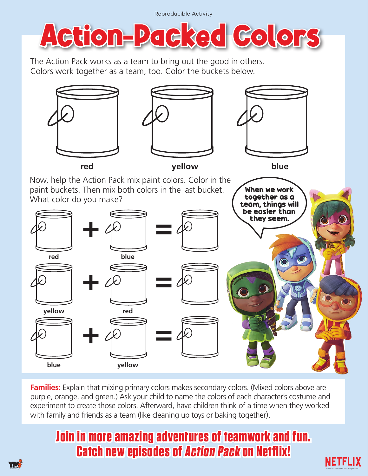Reproducible Activity



The Action Pack works as a team to bring out the good in others. Colors work together as a team, too. Color the buckets below.







When we work together as a

Now, help the Action Pack mix paint colors. Color in the paint buckets. Then mix both colors in the last bucket. What color do you make?



**Families:** Explain that mixing primary colors makes secondary colors. (Mixed colors above are purple, orange, and green.) Ask your child to name the colors of each character's costume and experiment to create those colors. Afterward, have children think of a time when they worked with family and friends as a team (like cleaning up toys or baking together).

## **Join in more amazing adventures of teamwork and fun. Catch new episodes of Action Pack on Netflix!**



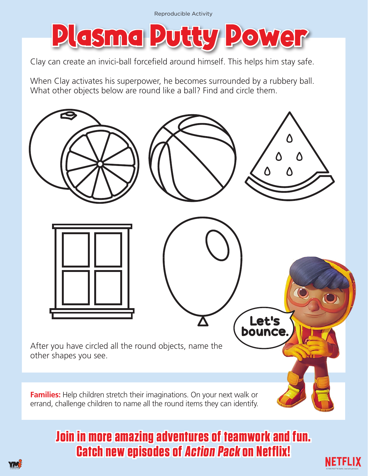

Clay can create an invici-ball forcefield around himself. This helps him stay safe.

When Clay activates his superpower, he becomes surrounded by a rubbery ball. What other objects below are round like a ball? Find and circle them.



## **Join in more amazing adventures of teamwork and fun. Catch new episodes of Action Pack on Netflix!**

NETFLIX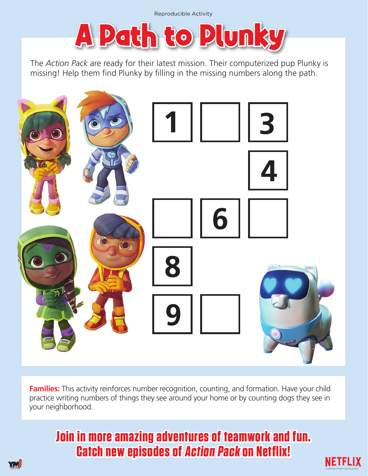

The *Action Pack* are ready for their latest mission. Their computerized pup Plunky is missing! Help them find Plunky by filling in the missing numbers along the path.



**Families:** This activity reinforces number recognition, counting, and formation. Have your child practice writing numbers of things they see around your home or by counting dogs they see in your neighborhood.

## **Join in more amazing adventures of teamwork and fun. Catch new episodes of Action Pack on Netflix!**

**NETFLIX**